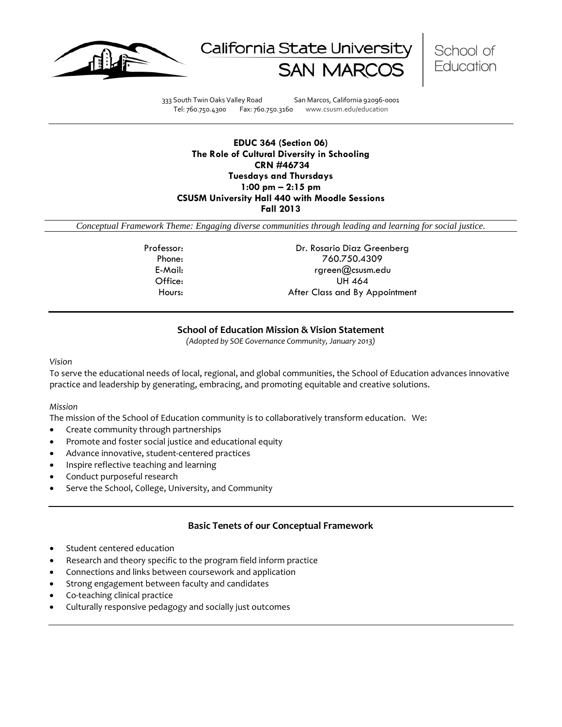





333 South Twin Oaks Valley Road San Marcos, California 92096-0001 Tel: 760.750.4300 Fax: 760.750.3160 www.csusm.edu/education

# **EDUC 364 (Section 06) The Role of Cultural Diversity in Schooling CRN #46734 Tuesdays and Thursdays 1:00 pm – 2:15 pm CSUSM University Hall 440 with Moodle Sessions Fall 2013**

*Conceptual Framework Theme: Engaging diverse communities through leading and learning for social justice.*

Professor: Dr. Rosario Diaz Greenberg Phone: 760.750.4309 E-Mail: rgreen@csusm.edu Office: UH 464 Hours: After Class and By Appointment

# **School of Education Mission & Vision Statement**

*(Adopted by SOE Governance Community, January 2013)*

#### <span id="page-0-0"></span>*Vision*

To serve the educational needs of local, regional, and global communities, the School of Education advances innovative practice and leadership by generating, embracing, and promoting equitable and creative solutions.

### *Mission*

The mission of the School of Education community is to collaboratively transform education. We:

- Create community through partnerships
- Promote and foster social justice and educational equity
- Advance innovative, student-centered practices
- Inspire reflective teaching and learning
- Conduct purposeful research
- Serve the School, College, University, and Community

# **Basic Tenets of our Conceptual Framework**

- <span id="page-0-1"></span>Student centered education
- Research and theory specific to the program field inform practice
- Connections and links between coursework and application
- Strong engagement between faculty and candidates
- Co-teaching clinical practice
- Culturally responsive pedagogy and socially just outcomes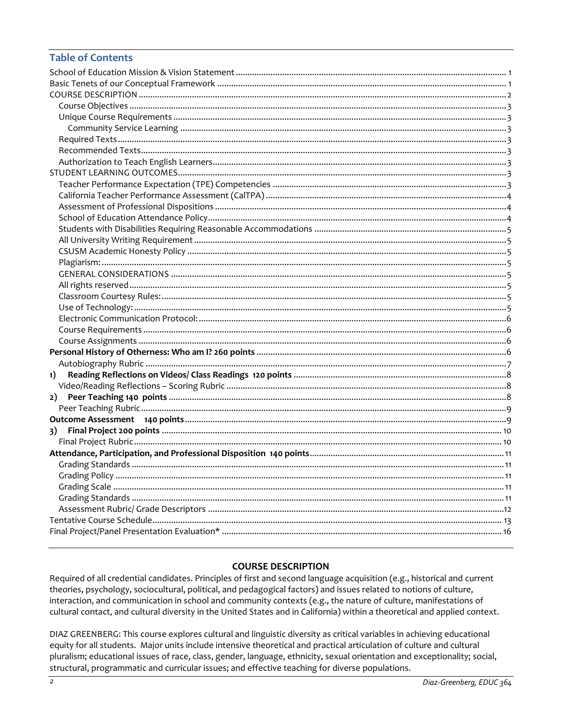# **Table of Contents**

| 1) |  |
|----|--|
|    |  |
| 2) |  |
|    |  |
|    |  |
| 3) |  |
|    |  |
|    |  |
|    |  |
|    |  |
|    |  |
|    |  |
|    |  |
|    |  |
|    |  |

# **COURSE DESCRIPTION**

<span id="page-1-0"></span>Required of all credential candidates. Principles of first and second language acquisition (e.g., historical and current theories, psychology, sociocultural, political, and pedagogical factors) and issues related to notions of culture, interaction, and communication in school and community contexts (e.g., the nature of culture, manifestations of cultural contact, and cultural diversity in the United States and in California) within a theoretical and applied context.

DIAZ GREENBERG: This course explores cultural and linguistic diversity as critical variables in achieving educational equity for all students. Major units include intensive theoretical and practical articulation of culture and cultural pluralism; educational issues of race, class, gender, language, ethnicity, sexual orientation and exceptionality; social, structural, programmatic and curricular issues; and effective teaching for diverse populations.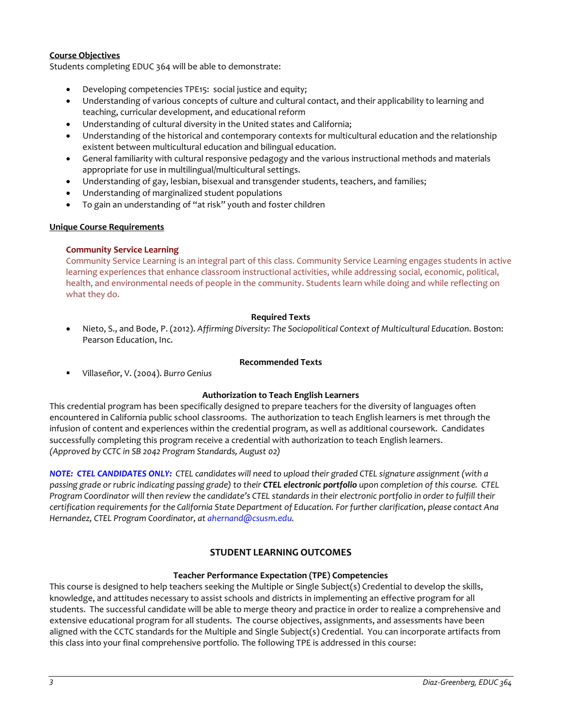# <span id="page-2-0"></span>**Course Objectives**

Students completing EDUC 364 will be able to demonstrate:

- Developing competencies TPE15: social justice and equity;
- Understanding of various concepts of culture and cultural contact, and their applicability to learning and teaching, curricular development, and educational reform
- Understanding of cultural diversity in the United states and California;
- Understanding of the historical and contemporary contexts for multicultural education and the relationship existent between multicultural education and bilingual education.
- General familiarity with cultural responsive pedagogy and the various instructional methods and materials appropriate for use in multilingual/multicultural settings.
- Understanding of gay, lesbian, bisexual and transgender students, teachers, and families;
- Understanding of marginalized student populations
- To gain an understanding of "at risk" youth and foster children

### <span id="page-2-1"></span>**Unique Course Requirements**

### <span id="page-2-2"></span>**Community Service Learning**

Community Service Learning is an integral part of this class. Community Service Learning engages students in active learning experiences that enhance classroom instructional activities, while addressing social, economic, political, health, and environmental needs of people in the community. Students learn while doing and while reflecting on what they do.

### **Required Texts**

<span id="page-2-3"></span>• Nieto, S., and Bode, P. (2012). *Affirming Diversity: The Sociopolitical Context of Multicultural Education*. Boston: Pearson Education, Inc.

#### **Recommended Texts**

<span id="page-2-4"></span>Villaseñor, V. (2004). *Burro Genius*

### **Authorization to Teach English Learners**

<span id="page-2-5"></span>This credential program has been specifically designed to prepare teachers for the diversity of languages often encountered in California public school classrooms. The authorization to teach English learners is met through the infusion of content and experiences within the credential program, as well as additional coursework. Candidates successfully completing this program receive a credential with authorization to teach English learners. *(Approved by CCTC in SB 2042 Program Standards, August 02)*

*NOTE: CTEL CANDIDATES ONLY: CTEL candidates will need to upload their graded CTEL signature assignment (with a passing grade or rubric indicating passing grade) to their CTEL electronic portfolio upon completion of this course. CTEL Program Coordinator will then review the candidate's CTEL standards in their electronic portfolio in order to fulfill their certification requirements for the California State Department of Education. For further clarification*, *please contact Ana Hernandez, CTEL Program Coordinator, a[t ahernand@csusm.edu.](mailto:ahernand@csusm.edu)*

# **STUDENT LEARNING OUTCOMES**

### **Teacher Performance Expectation (TPE) Competencies**

<span id="page-2-7"></span><span id="page-2-6"></span>This course is designed to help teachers seeking the Multiple or Single Subject(s) Credential to develop the skills, knowledge, and attitudes necessary to assist schools and districts in implementing an effective program for all students. The successful candidate will be able to merge theory and practice in order to realize a comprehensive and extensive educational program for all students. The course objectives, assignments, and assessments have been aligned with the CCTC standards for the Multiple and Single Subject(s) Credential. You can incorporate artifacts from this class into your final comprehensive portfolio. The following TPE is addressed in this course: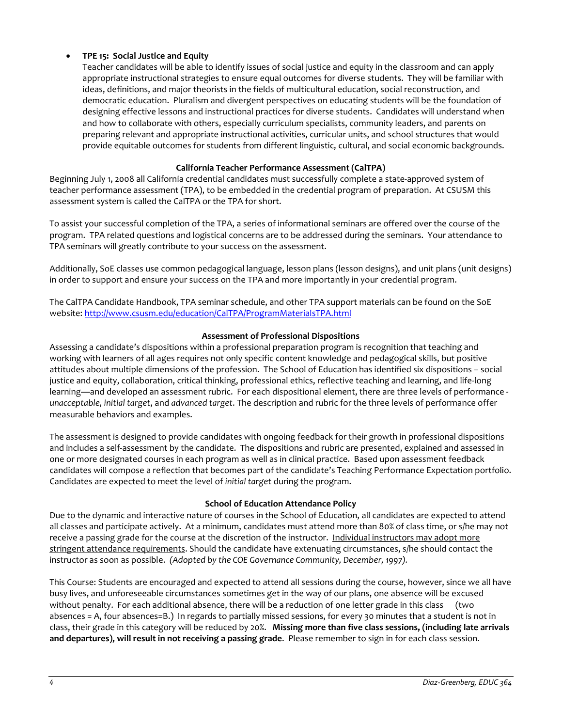# • **TPE 15: Social Justice and Equity**

Teacher candidates will be able to identify issues of social justice and equity in the classroom and can apply appropriate instructional strategies to ensure equal outcomes for diverse students. They will be familiar with ideas, definitions, and major theorists in the fields of multicultural education, social reconstruction, and democratic education. Pluralism and divergent perspectives on educating students will be the foundation of designing effective lessons and instructional practices for diverse students. Candidates will understand when and how to collaborate with others, especially curriculum specialists, community leaders, and parents on preparing relevant and appropriate instructional activities, curricular units, and school structures that would provide equitable outcomes for students from different linguistic, cultural, and social economic backgrounds.

# **California Teacher Performance Assessment (CalTPA)**

<span id="page-3-0"></span>Beginning July 1, 2008 all California credential candidates must successfully complete a state-approved system of teacher performance assessment (TPA), to be embedded in the credential program of preparation. At CSUSM this assessment system is called the CalTPA or the TPA for short.

To assist your successful completion of the TPA, a series of informational seminars are offered over the course of the program. TPA related questions and logistical concerns are to be addressed during the seminars. Your attendance to TPA seminars will greatly contribute to your success on the assessment.

Additionally, SoE classes use common pedagogical language, lesson plans (lesson designs), and unit plans (unit designs) in order to support and ensure your success on the TPA and more importantly in your credential program.

The CalTPA Candidate Handbook, TPA seminar schedule, and other TPA support materials can be found on the SoE website: <http://www.csusm.edu/education/CalTPA/ProgramMaterialsTPA.html>

# **Assessment of Professional Dispositions**

<span id="page-3-1"></span>Assessing a candidate's dispositions within a professional preparation program is recognition that teaching and working with learners of all ages requires not only specific content knowledge and pedagogical skills, but positive attitudes about multiple dimensions of the profession. The School of Education has identified six dispositions – social justice and equity, collaboration, critical thinking, professional ethics, reflective teaching and learning, and life-long learning—and developed an assessment rubric. For each dispositional element, there are three levels of performance *unacceptable*, *initial target*, and *advanced target*. The description and rubric for the three levels of performance offer measurable behaviors and examples.

The assessment is designed to provide candidates with ongoing feedback for their growth in professional dispositions and includes a self-assessment by the candidate. The dispositions and rubric are presented, explained and assessed in one or more designated courses in each program as well as in clinical practice. Based upon assessment feedback candidates will compose a reflection that becomes part of the candidate's Teaching Performance Expectation portfolio. Candidates are expected to meet the level of *initial target* during the program.

### **School of Education Attendance Policy**

<span id="page-3-2"></span>Due to the dynamic and interactive nature of courses in the School of Education, all candidates are expected to attend all classes and participate actively. At a minimum, candidates must attend more than 80% of class time, or s/he may not receive a passing grade for the course at the discretion of the instructor. Individual instructors may adopt more stringent attendance requirements. Should the candidate have extenuating circumstances, s/he should contact the instructor as soon as possible. *(Adopted by the COE Governance Community, December, 1997).*

This Course: Students are encouraged and expected to attend all sessions during the course, however, since we all have busy lives, and unforeseeable circumstances sometimes get in the way of our plans, one absence will be excused without penalty. For each additional absence, there will be a reduction of one letter grade in this class (two absences = A, four absences=B.) In regards to partially missed sessions, for every 30 minutes that a student is not in class, their grade in this category will be reduced by 20%. **Missing more than five class sessions, (including late arrivals and departures), will result in not receiving a passing grade**. Please remember to sign in for each class session.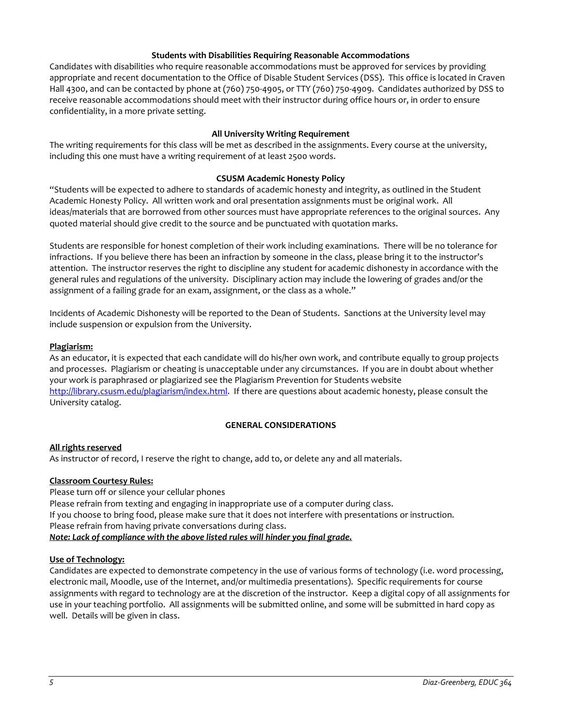## **Students with Disabilities Requiring Reasonable Accommodations**

<span id="page-4-0"></span>Candidates with disabilities who require reasonable accommodations must be approved for services by providing appropriate and recent documentation to the Office of Disable Student Services (DSS). This office is located in Craven Hall 4300, and can be contacted by phone at (760) 750-4905, or TTY (760) 750-4909. Candidates authorized by DSS to receive reasonable accommodations should meet with their instructor during office hours or, in order to ensure confidentiality, in a more private setting.

# **All University Writing Requirement**

<span id="page-4-1"></span>The writing requirements for this class will be met as described in the assignments. Every course at the university, including this one must have a writing requirement of at least 2500 words.

## **CSUSM Academic Honesty Policy**

<span id="page-4-2"></span>"Students will be expected to adhere to standards of academic honesty and integrity, as outlined in the Student Academic Honesty Policy. All written work and oral presentation assignments must be original work. All ideas/materials that are borrowed from other sources must have appropriate references to the original sources. Any quoted material should give credit to the source and be punctuated with quotation marks.

Students are responsible for honest completion of their work including examinations. There will be no tolerance for infractions. If you believe there has been an infraction by someone in the class, please bring it to the instructor's attention. The instructor reserves the right to discipline any student for academic dishonesty in accordance with the general rules and regulations of the university. Disciplinary action may include the lowering of grades and/or the assignment of a failing grade for an exam, assignment, or the class as a whole."

Incidents of Academic Dishonesty will be reported to the Dean of Students. Sanctions at the University level may include suspension or expulsion from the University.

### <span id="page-4-3"></span>**Plagiarism:**

As an educator, it is expected that each candidate will do his/her own work, and contribute equally to group projects and processes. Plagiarism or cheating is unacceptable under any circumstances. If you are in doubt about whether your work is paraphrased or plagiarized see the Plagiarism Prevention for Students website [http://library.csusm.edu/plagiarism/index.html.](http://library.csusm.edu/plagiarism/index.html) If there are questions about academic honesty, please consult the University catalog.

### **GENERAL CONSIDERATIONS**

### <span id="page-4-5"></span><span id="page-4-4"></span>**All rights reserved**

As instructor of record, I reserve the right to change, add to, or delete any and all materials.

### <span id="page-4-6"></span>**Classroom Courtesy Rules:**

Please turn off or silence your cellular phones Please refrain from texting and engaging in inappropriate use of a computer during class. If you choose to bring food, please make sure that it does not interfere with presentations or instruction. Please refrain from having private conversations during class. *Note: Lack of compliance with the above listed rules will hinder you final grade.*

### <span id="page-4-7"></span>**Use of Technology:**

Candidates are expected to demonstrate competency in the use of various forms of technology (i.e. word processing, electronic mail, Moodle, use of the Internet, and/or multimedia presentations). Specific requirements for course assignments with regard to technology are at the discretion of the instructor. Keep a digital copy of all assignments for use in your teaching portfolio. All assignments will be submitted online, and some will be submitted in hard copy as well. Details will be given in class.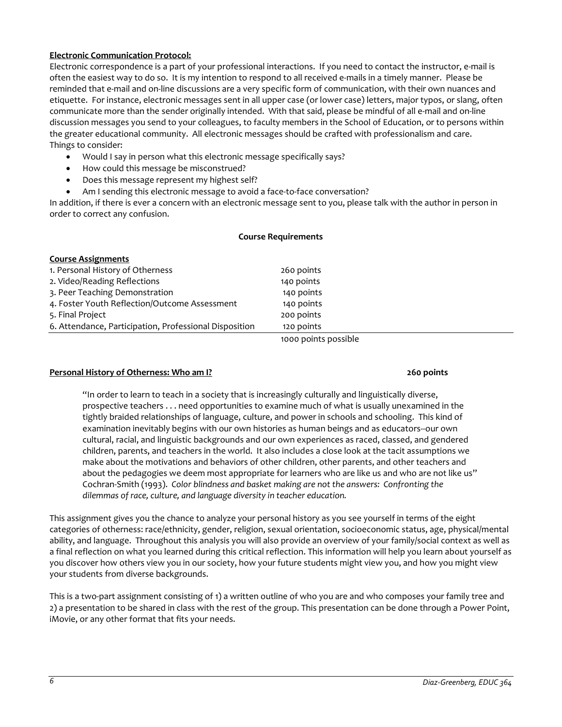# <span id="page-5-0"></span>**Electronic Communication Protocol:**

Electronic correspondence is a part of your professional interactions. If you need to contact the instructor, e-mail is often the easiest way to do so. It is my intention to respond to all received e-mails in a timely manner. Please be reminded that e-mail and on-line discussions are a very specific form of communication, with their own nuances and etiquette. For instance, electronic messages sent in all upper case (or lower case) letters, major typos, or slang, often communicate more than the sender originally intended. With that said, please be mindful of all e-mail and on-line discussion messages you send to your colleagues, to faculty members in the School of Education, or to persons within the greater educational community. All electronic messages should be crafted with professionalism and care. Things to consider:

- Would I say in person what this electronic message specifically says?
- How could this message be misconstrued?
- Does this message represent my highest self?
- Am I sending this electronic message to avoid a face-to-face conversation?

In addition, if there is ever a concern with an electronic message sent to you, please talk with the author in person in order to correct any confusion.

# <span id="page-5-2"></span><span id="page-5-1"></span>**Course Requirements Course Assignments** 1. Personal History of Otherness 260 points 2. Video/Reading Reflections 140 points 3. Peer Teaching Demonstration 140 points 4. Foster Youth Reflection/Outcome Assessment 140 points 5. Final Project 200 points 6. Attendance, Participation, Professional Disposition 120 points

1000 points possible

### <span id="page-5-3"></span>**Personal History of Otherness: Who am I? 260 points**

# "In order to learn to teach in a society that is increasingly culturally and linguistically diverse, prospective teachers . . . need opportunities to examine much of what is usually unexamined in the tightly braided relationships of language, culture, and power in schools and schooling. This kind of examination inevitably begins with our own histories as human beings and as educators--our own cultural, racial, and linguistic backgrounds and our own experiences as raced, classed, and gendered children, parents, and teachers in the world. It also includes a close look at the tacit assumptions we make about the motivations and behaviors of other children, other parents, and other teachers and about the pedagogies we deem most appropriate for learners who are like us and who are not like us" Cochran-Smith (1993). *Color blindness and basket making are not the answers: Confronting the dilemmas of race, culture, and language diversity in teacher education.*

This assignment gives you the chance to analyze your personal history as you see yourself in terms of the eight categories of otherness: race/ethnicity, gender, religion, sexual orientation, socioeconomic status, age, physical/mental ability, and language. Throughout this analysis you will also provide an overview of your family/social context as well as a final reflection on what you learned during this critical reflection. This information will help you learn about yourself as you discover how others view you in our society, how your future students might view you, and how you might view your students from diverse backgrounds.

This is a two-part assignment consisting of 1) a written outline of who you are and who composes your family tree and 2) a presentation to be shared in class with the rest of the group. This presentation can be done through a Power Point, iMovie, or any other format that fits your needs.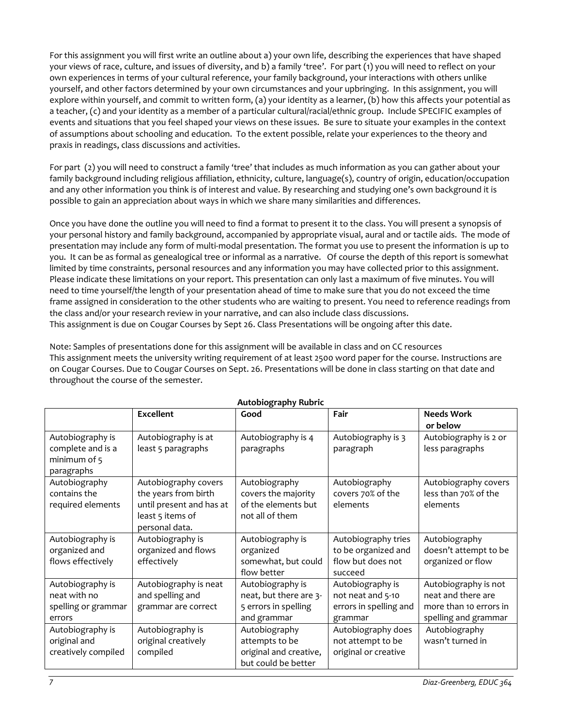For this assignment you will first write an outline about a) your own life, describing the experiences that have shaped your views of race, culture, and issues of diversity, and b) a family 'tree'. For part (1) you will need to reflect on your own experiences in terms of your cultural reference, your family background, your interactions with others unlike yourself, and other factors determined by your own circumstances and your upbringing. In this assignment, you will explore within yourself, and commit to written form, (a) your identity as a learner, (b) how this affects your potential as a teacher, (c) and your identity as a member of a particular cultural/racial/ethnic group. Include SPECIFIC examples of events and situations that you feel shaped your views on these issues. Be sure to situate your examples in the context of assumptions about schooling and education. To the extent possible, relate your experiences to the theory and praxis in readings, class discussions and activities.

For part (2) you will need to construct a family 'tree' that includes as much information as you can gather about your family background including religious affiliation, ethnicity, culture, language(s), country of origin, education/occupation and any other information you think is of interest and value. By researching and studying one's own background it is possible to gain an appreciation about ways in which we share many similarities and differences.

Once you have done the outline you will need to find a format to present it to the class. You will present a synopsis of your personal history and family background, accompanied by appropriate visual, aural and or tactile aids. The mode of presentation may include any form of multi-modal presentation. The format you use to present the information is up to you. It can be as formal as genealogical tree or informal as a narrative. Of course the depth of this report is somewhat limited by time constraints, personal resources and any information you may have collected prior to this assignment. Please indicate these limitations on your report. This presentation can only last a maximum of five minutes. You will need to time yourself/the length of your presentation ahead of time to make sure that you do not exceed the time frame assigned in consideration to the other students who are waiting to present. You need to reference readings from the class and/or your research review in your narrative, and can also include class discussions. This assignment is due on Cougar Courses by Sept 26. Class Presentations will be ongoing after this date.

Note: Samples of presentations done for this assignment will be available in class and on CC resources This assignment meets the university writing requirement of at least 2500 word paper for the course. Instructions are on Cougar Courses. Due to Cougar Courses on Sept. 26. Presentations will be done in class starting on that date and throughout the course of the semester.

<span id="page-6-0"></span>

| Autobiography Rubric |                          |                        |                        |                        |  |
|----------------------|--------------------------|------------------------|------------------------|------------------------|--|
|                      | <b>Excellent</b>         | Good                   | Fair                   | <b>Needs Work</b>      |  |
|                      |                          |                        |                        | or below               |  |
| Autobiography is     | Autobiography is at      | Autobiography is 4     | Autobiography is 3     | Autobiography is 2 or  |  |
| complete and is a    | least 5 paragraphs       | paragraphs             | paragraph              | less paragraphs        |  |
| minimum of 5         |                          |                        |                        |                        |  |
| paragraphs           |                          |                        |                        |                        |  |
| Autobiography        | Autobiography covers     | Autobiography          | Autobiography          | Autobiography covers   |  |
| contains the         | the years from birth     | covers the majority    | covers 70% of the      | less than 70% of the   |  |
| required elements    | until present and has at | of the elements but    | elements               | elements               |  |
|                      | least 5 items of         | not all of them        |                        |                        |  |
|                      | personal data.           |                        |                        |                        |  |
| Autobiography is     | Autobiography is         | Autobiography is       | Autobiography tries    | Autobiography          |  |
| organized and        | organized and flows      | organized              | to be organized and    | doesn't attempt to be  |  |
| flows effectively    | effectively              | somewhat, but could    | flow but does not      | organized or flow      |  |
|                      |                          | flow better            | succeed                |                        |  |
| Autobiography is     | Autobiography is neat    | Autobiography is       | Autobiography is       | Autobiography is not   |  |
| neat with no         | and spelling and         | neat, but there are 3- | not neat and 5-10      | neat and there are     |  |
| spelling or grammar  | grammar are correct      | 5 errors in spelling   | errors in spelling and | more than 10 errors in |  |
| errors               |                          | and grammar            | grammar                | spelling and grammar   |  |
| Autobiography is     | Autobiography is         | Autobiography          | Autobiography does     | Autobiography          |  |
| original and         | original creatively      | attempts to be         | not attempt to be      | wasn't turned in       |  |
| creatively compiled  | compiled                 | original and creative, | original or creative   |                        |  |
|                      |                          | but could be better    |                        |                        |  |

# **Autobiography Rubric**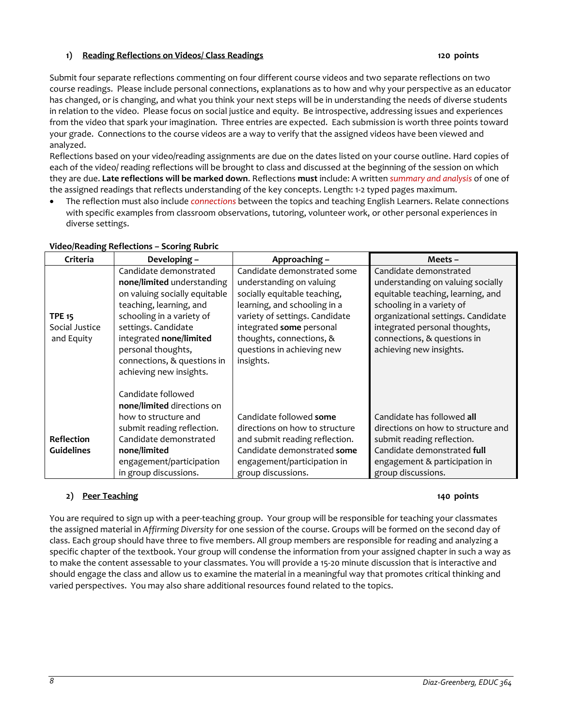# <span id="page-7-0"></span>**1) Reading Reflections on Videos/ Class Readings 120 points**

Submit four separate reflections commenting on four different course videos and two separate reflections on two course readings. Please include personal connections, explanations as to how and why your perspective as an educator has changed, or is changing, and what you think your next steps will be in understanding the needs of diverse students in relation to the video. Please focus on social justice and equity. Be introspective, addressing issues and experiences from the video that spark your imagination. Three entries are expected. Each submission is worth three points toward your grade. Connections to the course videos are a way to verify that the assigned videos have been viewed and analyzed.

Reflections based on your video/reading assignments are due on the dates listed on your course outline. Hard copies of each of the video/ reading reflections will be brought to class and discussed at the beginning of the session on which they are due. **Late reflections will be marked down**. Reflections **must** include: A written *summary and analysis* of one of the assigned readings that reflects understanding of the key concepts. Length: 1-2 typed pages maximum.

• The reflection must also include *connections* between the topics and teaching English Learners. Relate connections with specific examples from classroom observations, tutoring, volunteer work, or other personal experiences in diverse settings.

| Criteria                                      | Developing -                                                                                                                                                                                                                                                                    | Approaching –                                                                                                                                                                                                                                                | Meets –                                                                                                                                                                                                                                                        |
|-----------------------------------------------|---------------------------------------------------------------------------------------------------------------------------------------------------------------------------------------------------------------------------------------------------------------------------------|--------------------------------------------------------------------------------------------------------------------------------------------------------------------------------------------------------------------------------------------------------------|----------------------------------------------------------------------------------------------------------------------------------------------------------------------------------------------------------------------------------------------------------------|
| <b>TPE 15</b><br>Social Justice<br>and Equity | Candidate demonstrated<br>none/limited understanding<br>on valuing socially equitable<br>teaching, learning, and<br>schooling in a variety of<br>settings. Candidate<br>integrated none/limited<br>personal thoughts,<br>connections, & questions in<br>achieving new insights. | Candidate demonstrated some<br>understanding on valuing<br>socially equitable teaching,<br>learning, and schooling in a<br>variety of settings. Candidate<br>integrated some personal<br>thoughts, connections, &<br>questions in achieving new<br>insights. | Candidate demonstrated<br>understanding on valuing socially<br>equitable teaching, learning, and<br>schooling in a variety of<br>organizational settings. Candidate<br>integrated personal thoughts,<br>connections, & questions in<br>achieving new insights. |
| <b>Reflection</b><br><b>Guidelines</b>        | Candidate followed<br>none/limited directions on<br>how to structure and<br>submit reading reflection.<br>Candidate demonstrated<br>none/limited<br>engagement/participation<br>in group discussions.                                                                           | Candidate followed some<br>directions on how to structure<br>and submit reading reflection.<br>Candidate demonstrated some<br>engagement/participation in<br>group discussions.                                                                              | Candidate has followed all<br>directions on how to structure and<br>submit reading reflection.<br>Candidate demonstrated full<br>engagement & participation in<br>group discussions.                                                                           |

# <span id="page-7-1"></span>**Video/Reading Reflections – Scoring Rubric**

# <span id="page-7-2"></span>**2) Peer Teaching 140 points**

You are required to sign up with a peer-teaching group. Your group will be responsible for teaching your classmates the assigned material in *Affirming Diversity* for one session of the course. Groups will be formed on the second day of class. Each group should have three to five members. All group members are responsible for reading and analyzing a specific chapter of the textbook. Your group will condense the information from your assigned chapter in such a way as to make the content assessable to your classmates. You will provide a 15-20 minute discussion that is interactive and should engage the class and allow us to examine the material in a meaningful way that promotes critical thinking and varied perspectives. You may also share additional resources found related to the topics.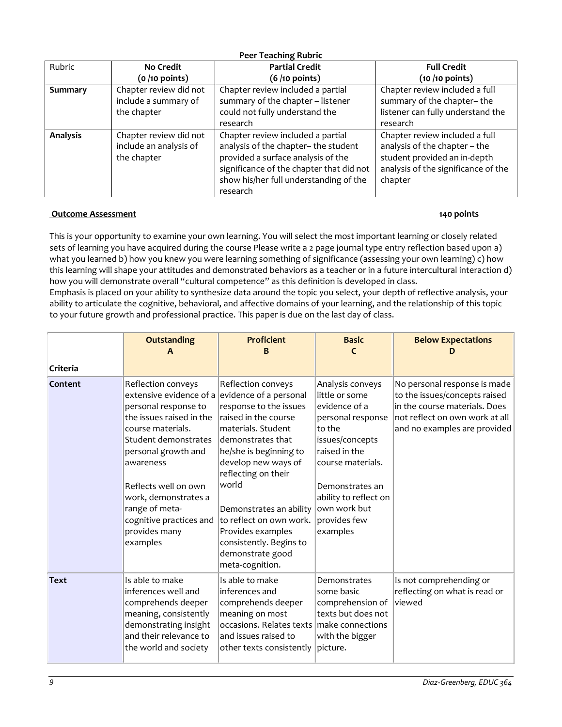<span id="page-8-0"></span>

| <b>Peer Teaching Rubric</b> |                                                                 |                                                                                                                                                                                                                   |                                                                                                                                                   |  |
|-----------------------------|-----------------------------------------------------------------|-------------------------------------------------------------------------------------------------------------------------------------------------------------------------------------------------------------------|---------------------------------------------------------------------------------------------------------------------------------------------------|--|
| Rubric                      | <b>No Credit</b>                                                | <b>Partial Credit</b>                                                                                                                                                                                             | <b>Full Credit</b>                                                                                                                                |  |
|                             | $(o / 10$ points)                                               | $(6/10$ points)                                                                                                                                                                                                   | $(10/10$ points)                                                                                                                                  |  |
| Summary                     | Chapter review did not<br>include a summary of<br>the chapter   | Chapter review included a partial<br>summary of the chapter - listener<br>could not fully understand the<br>research                                                                                              | Chapter review included a full<br>summary of the chapter-the<br>listener can fully understand the<br>research                                     |  |
| <b>Analysis</b>             | Chapter review did not<br>include an analysis of<br>the chapter | Chapter review included a partial<br>analysis of the chapter- the student<br>provided a surface analysis of the<br>significance of the chapter that did not<br>show his/her full understanding of the<br>research | Chapter review included a full<br>analysis of the chapter - the<br>student provided an in-depth<br>analysis of the significance of the<br>chapter |  |

# <span id="page-8-1"></span>**Outcome Assessment 140 points**

This is your opportunity to examine your own learning. You will select the most important learning or closely related sets of learning you have acquired during the course Please write a 2 page journal type entry reflection based upon a) what you learned b) how you knew you were learning something of significance (assessing your own learning) c) how this learning will shape your attitudes and demonstrated behaviors as a teacher or in a future intercultural interaction d) how you will demonstrate overall "cultural competence" as this definition is developed in class.

Emphasis is placed on your ability to synthesize data around the topic you select, your depth of reflective analysis, your ability to articulate the cognitive, behavioral, and affective domains of your learning, and the relationship of this topic to your future growth and professional practice. This paper is due on the last day of class.

| Criteria    | <b>Outstanding</b>                                                                                                                                                                                                                                                                                                                  | <b>Proficient</b><br>в                                                                                                                                                                                                                                                                                                                        | <b>Basic</b>                                                                                                                                                                                                                        | <b>Below Expectations</b>                                                                                                                                        |
|-------------|-------------------------------------------------------------------------------------------------------------------------------------------------------------------------------------------------------------------------------------------------------------------------------------------------------------------------------------|-----------------------------------------------------------------------------------------------------------------------------------------------------------------------------------------------------------------------------------------------------------------------------------------------------------------------------------------------|-------------------------------------------------------------------------------------------------------------------------------------------------------------------------------------------------------------------------------------|------------------------------------------------------------------------------------------------------------------------------------------------------------------|
| Content     | Reflection conveys<br>extensive evidence of a evidence of a personal<br>personal response to<br>the issues raised in the<br>course materials.<br>Student demonstrates<br>personal growth and<br>awareness<br>Reflects well on own<br>work, demonstrates a<br>range of meta-<br>cognitive practices and<br>provides many<br>examples | Reflection conveys<br>response to the issues<br>raised in the course<br>materials. Student<br>demonstrates that<br>he/she is beginning to<br>develop new ways of<br>reflecting on their<br>world<br>Demonstrates an ability<br>to reflect on own work.<br>Provides examples<br>consistently. Begins to<br>demonstrate good<br>meta-cognition. | Analysis conveys<br>little or some<br>evidence of a<br>personal response<br>to the<br>issues/concepts<br>raised in the<br>course materials.<br>Demonstrates an<br>ability to reflect on<br>own work but<br>provides few<br>examples | No personal response is made<br>to the issues/concepts raised<br>in the course materials. Does<br>not reflect on own work at all<br>and no examples are provided |
| <b>Text</b> | Is able to make<br>inferences well and<br>comprehends deeper<br>meaning, consistently<br>demonstrating insight<br>and their relevance to<br>the world and society                                                                                                                                                                   | Is able to make<br>inferences and<br>comprehends deeper<br>meaning on most<br>occasions. Relates texts make connections<br>and issues raised to<br>other texts consistently                                                                                                                                                                   | Demonstrates<br>some basic<br>comprehension of<br>texts but does not<br>with the bigger<br>picture.                                                                                                                                 | Is not comprehending or<br>reflecting on what is read or<br>viewed                                                                                               |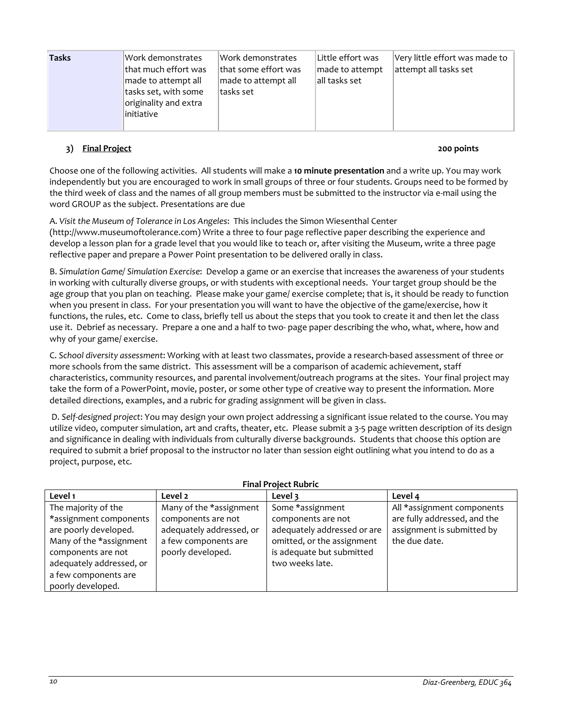| <b>Tasks</b> | Work demonstrates     | Work demonstrates    | Little effort was | Very little effort was made to |
|--------------|-----------------------|----------------------|-------------------|--------------------------------|
|              | lthat much effort was | that some effort was | made to attempt   | attempt all tasks set          |
|              | made to attempt all   | made to attempt all  | all tasks set     |                                |
|              | tasks set, with some  | tasks set            |                   |                                |
|              | originality and extra |                      |                   |                                |
|              | linitiative           |                      |                   |                                |
|              |                       |                      |                   |                                |

# <span id="page-9-0"></span>**3) Final Project 200 points**

Choose one of the following activities. All students will make a **10 minute presentation** and a write up. You may work independently but you are encouraged to work in small groups of three or four students. Groups need to be formed by the third week of class and the names of all group members must be submitted to the instructor via e-mail using the word GROUP as the subject. Presentations are due

A. *Visit the Museum of Tolerance in Los Angeles*: This includes the Simon Wiesenthal Center

(http://www.museumoftolerance.com) Write a three to four page reflective paper describing the experience and develop a lesson plan for a grade level that you would like to teach or, after visiting the Museum, write a three page reflective paper and prepare a Power Point presentation to be delivered orally in class.

B. *Simulation Game/ Simulation Exercise*: Develop a game or an exercise that increases the awareness of your students in working with culturally diverse groups, or with students with exceptional needs. Your target group should be the age group that you plan on teaching. Please make your game/ exercise complete; that is, it should be ready to function when you present in class. For your presentation you will want to have the objective of the game/exercise, how it functions, the rules, etc. Come to class, briefly tell us about the steps that you took to create it and then let the class use it. Debrief as necessary. Prepare a one and a half to two- page paper describing the who, what, where, how and why of your game/ exercise.

C. *School diversity assessment*: Working with at least two classmates, provide a research-based assessment of three or more schools from the same district. This assessment will be a comparison of academic achievement, staff characteristics, community resources, and parental involvement/outreach programs at the sites. Your final project may take the form of a PowerPoint, movie, poster, or some other type of creative way to present the information. More detailed directions, examples, and a rubric for grading assignment will be given in class.

D. *Self-designed project*: You may design your own project addressing a significant issue related to the course. You may utilize video, computer simulation, art and crafts, theater, etc. Please submit a 3-5 page written description of its design and significance in dealing with individuals from culturally diverse backgrounds. Students that choose this option are required to submit a brief proposal to the instructor no later than session eight outlining what you intend to do as a project, purpose, etc.

<span id="page-9-1"></span>

| <b>Final Project Rubric</b> |                          |                             |                              |  |  |
|-----------------------------|--------------------------|-----------------------------|------------------------------|--|--|
| Level 1                     | Level 2                  | Level 3                     | Level 4                      |  |  |
| The majority of the         | Many of the *assignment  | Some *assignment            | All *assignment components   |  |  |
| *assignment components      | components are not       | components are not          | are fully addressed, and the |  |  |
| are poorly developed.       | adequately addressed, or | adequately addressed or are | assignment is submitted by   |  |  |
| Many of the *assignment     | a few components are     | omitted, or the assignment  | the due date.                |  |  |
| components are not          | poorly developed.        | is adequate but submitted   |                              |  |  |
| adequately addressed, or    |                          | two weeks late.             |                              |  |  |
| a few components are        |                          |                             |                              |  |  |
| poorly developed.           |                          |                             |                              |  |  |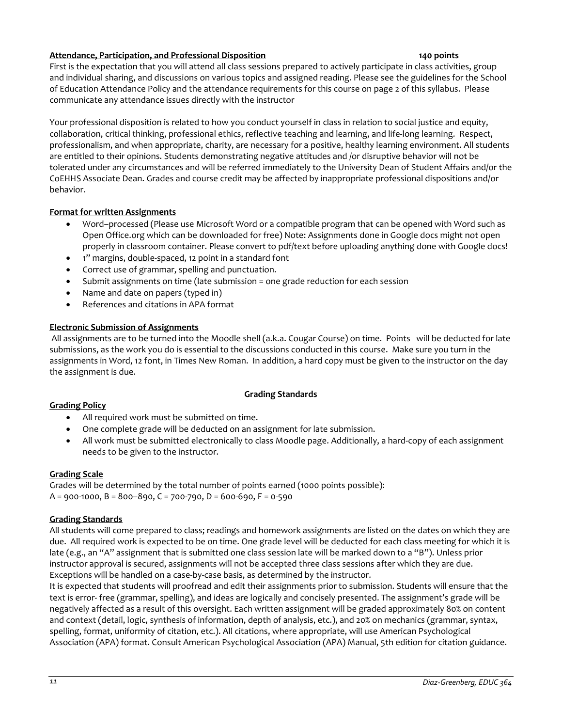# <span id="page-10-0"></span>**Attendance, Participation, and Professional Disposition 140 points**

First is the expectation that you will attend all class sessions prepared to actively participate in class activities, group and individual sharing, and discussions on various topics and assigned reading. Please see the guidelines for the School of Education Attendance Policy and the attendance requirements for this course on page 2 of this syllabus. Please communicate any attendance issues directly with the instructor

Your professional disposition is related to how you conduct yourself in class in relation to social justice and equity, collaboration, critical thinking, professional ethics, reflective teaching and learning, and life-long learning. Respect, professionalism, and when appropriate, charity, are necessary for a positive, healthy learning environment. All students are entitled to their opinions. Students demonstrating negative attitudes and /or disruptive behavior will not be tolerated under any circumstances and will be referred immediately to the University Dean of Student Affairs and/or the CoEHHS Associate Dean. Grades and course credit may be affected by inappropriate professional dispositions and/or behavior.

# **Format for written Assignments**

- Word–processed (Please use Microsoft Word or a compatible program that can be opened with Word such as Open Office.org which can be downloaded for free) Note: Assignments done in Google docs might not open properly in classroom container. Please convert to pdf/text before uploading anything done with Google docs!
- 1" margins, double-spaced, 12 point in a standard font
- Correct use of grammar, spelling and punctuation.
- Submit assignments on time (late submission = one grade reduction for each session
- Name and date on papers (typed in)
- References and citations in APA format

# **Electronic Submission of Assignments**

All assignments are to be turned into the Moodle shell (a.k.a. Cougar Course) on time. Points will be deducted for late submissions, as the work you do is essential to the discussions conducted in this course. Make sure you turn in the assignments in Word, 12 font, in Times New Roman. In addition, a hard copy must be given to the instructor on the day the assignment is due.

### **Grading Standards**

### <span id="page-10-2"></span><span id="page-10-1"></span>**Grading Policy**

- All required work must be submitted on time.
- One complete grade will be deducted on an assignment for late submission.
- All work must be submitted electronically to class Moodle page. Additionally, a hard-copy of each assignment needs to be given to the instructor.

## <span id="page-10-3"></span>**Grading Scale**

Grades will be determined by the total number of points earned (1000 points possible):  $A = 900 - 1000$ ,  $B = 800 - 890$ ,  $C = 700 - 790$ ,  $D = 600 - 690$ ,  $F = 0 - 590$ 

### <span id="page-10-4"></span>**Grading Standards**

All students will come prepared to class; readings and homework assignments are listed on the dates on which they are due. All required work is expected to be on time. One grade level will be deducted for each class meeting for which it is late (e.g., an "A" assignment that is submitted one class session late will be marked down to a "B"). Unless prior instructor approval is secured, assignments will not be accepted three class sessions after which they are due. Exceptions will be handled on a case-by-case basis, as determined by the instructor.

It is expected that students will proofread and edit their assignments prior to submission. Students will ensure that the text is error- free (grammar, spelling), and ideas are logically and concisely presented. The assignment's grade will be negatively affected as a result of this oversight. Each written assignment will be graded approximately 80% on content and context (detail, logic, synthesis of information, depth of analysis, etc.), and 20% on mechanics (grammar, syntax, spelling, format, uniformity of citation, etc.). All citations, where appropriate, will use American Psychological Association (APA) format. Consult American Psychological Association (APA) Manual, 5th edition for citation guidance.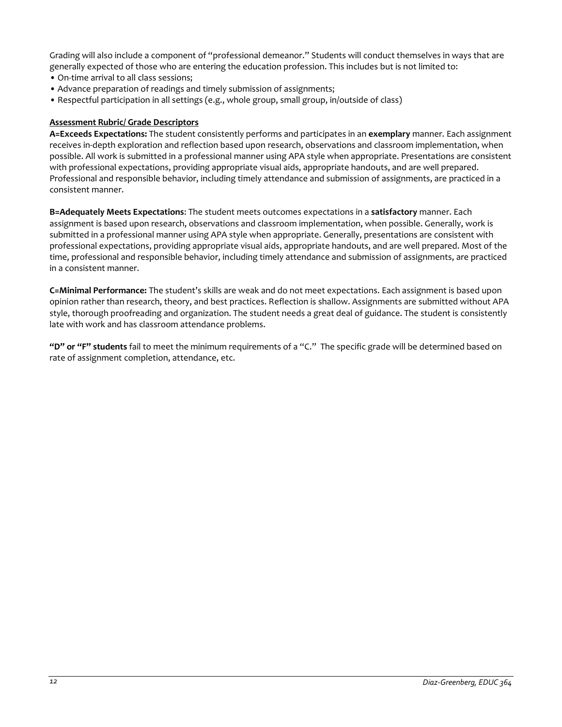Grading will also include a component of "professional demeanor." Students will conduct themselves in ways that are generally expected of those who are entering the education profession. This includes but is not limited to:

- On-time arrival to all class sessions;
- Advance preparation of readings and timely submission of assignments;
- Respectful participation in all settings (e.g., whole group, small group, in/outside of class)

### <span id="page-11-0"></span>**Assessment Rubric/ Grade Descriptors**

**A=Exceeds Expectations:** The student consistently performs and participates in an **exemplary** manner. Each assignment receives in-depth exploration and reflection based upon research, observations and classroom implementation, when possible. All work is submitted in a professional manner using APA style when appropriate. Presentations are consistent with professional expectations, providing appropriate visual aids, appropriate handouts, and are well prepared. Professional and responsible behavior, including timely attendance and submission of assignments, are practiced in a consistent manner.

**B=Adequately Meets Expectations**: The student meets outcomes expectations in a **satisfactory** manner. Each assignment is based upon research, observations and classroom implementation, when possible. Generally, work is submitted in a professional manner using APA style when appropriate. Generally, presentations are consistent with professional expectations, providing appropriate visual aids, appropriate handouts, and are well prepared. Most of the time, professional and responsible behavior, including timely attendance and submission of assignments, are practiced in a consistent manner.

**C=Minimal Performance:** The student's skills are weak and do not meet expectations. Each assignment is based upon opinion rather than research, theory, and best practices. Reflection is shallow. Assignments are submitted without APA style, thorough proofreading and organization. The student needs a great deal of guidance. The student is consistently late with work and has classroom attendance problems.

**"D" or "F" students** fail to meet the minimum requirements of a "C." The specific grade will be determined based on rate of assignment completion, attendance, etc.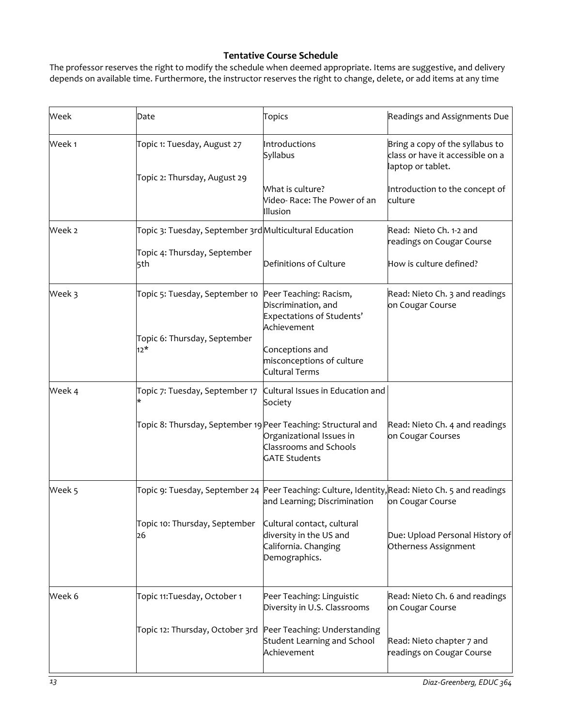# **Tentative Course Schedule**

<span id="page-12-0"></span>The professor reserves the right to modify the schedule when deemed appropriate. Items are suggestive, and delivery depends on available time. Furthermore, the instructor reserves the right to change, delete, or add items at any time

| Week   | Date                                                                                   | <b>Topics</b>                                                                                                                  | Readings and Assignments Due                                                             |
|--------|----------------------------------------------------------------------------------------|--------------------------------------------------------------------------------------------------------------------------------|------------------------------------------------------------------------------------------|
| Week 1 | Topic 1: Tuesday, August 27                                                            | Introductions<br>Syllabus                                                                                                      | Bring a copy of the syllabus to<br>class or have it accessible on a<br>laptop or tablet. |
|        | Topic 2: Thursday, August 29                                                           | What is culture?<br>Video-Race: The Power of an<br>Illusion                                                                    | Introduction to the concept of<br>culture                                                |
| Week 2 | Topic 3: Tuesday, September 3rdMulticultural Education<br>Topic 4: Thursday, September |                                                                                                                                | Read: Nieto Ch. 1-2 and<br>readings on Cougar Course                                     |
|        | 5th                                                                                    | Definitions of Culture                                                                                                         | How is culture defined?                                                                  |
| Week 3 | Topic 5: Tuesday, September 10                                                         | Peer Teaching: Racism,<br>Discrimination, and<br>Expectations of Students'<br>Achievement                                      | Read: Nieto Ch. 3 and readings<br>on Cougar Course                                       |
|        | Topic 6: Thursday, September<br>$12*$                                                  | Conceptions and<br>misconceptions of culture<br><b>Cultural Terms</b>                                                          |                                                                                          |
| Week 4 | Topic 7: Tuesday, September 17                                                         | Cultural Issues in Education and<br>Society                                                                                    |                                                                                          |
|        | Topic 8: Thursday, September 19 Peer Teaching: Structural and                          | Organizational Issues in<br><b>Classrooms and Schools</b><br><b>GATE Students</b>                                              | Read: Nieto Ch. 4 and readings<br>on Cougar Courses                                      |
| Week 5 |                                                                                        | Topic 9: Tuesday, September 24 Peer Teaching: Culture, Identity,Read: Nieto Ch. 5 and readings<br>and Learning; Discrimination | on Cougar Course                                                                         |
|        | Topic 10: Thursday, September<br>26                                                    | Cultural contact, cultural<br>diversity in the US and<br>California. Changing<br>Demographics.                                 | Due: Upload Personal History of<br>Otherness Assignment                                  |
| Week 6 | Topic 11: Tuesday, October 1                                                           | Peer Teaching: Linguistic<br>Diversity in U.S. Classrooms                                                                      | Read: Nieto Ch. 6 and readings<br>on Cougar Course                                       |
|        | Topic 12: Thursday, October 3rd                                                        | Peer Teaching: Understanding<br>Student Learning and School<br>Achievement                                                     | Read: Nieto chapter 7 and<br>readings on Cougar Course                                   |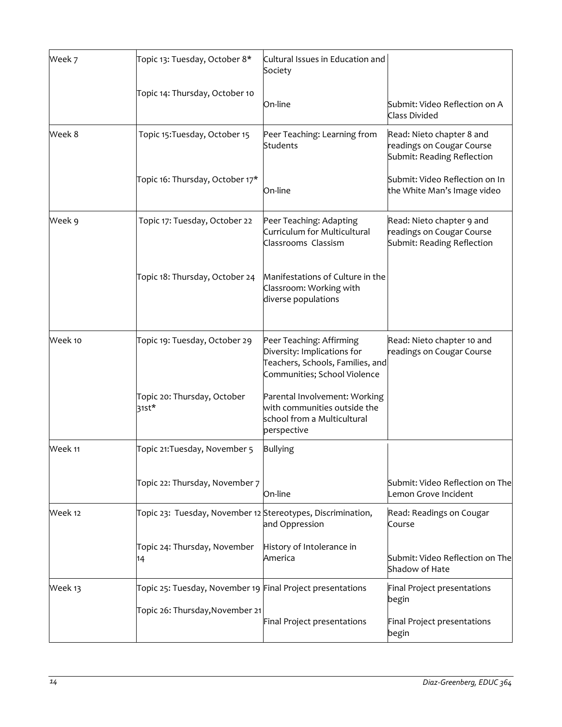| Topic 13: Tuesday, October 8*        | Society                                                                                                     |                                                                                                                                                                                                                                                                          |
|--------------------------------------|-------------------------------------------------------------------------------------------------------------|--------------------------------------------------------------------------------------------------------------------------------------------------------------------------------------------------------------------------------------------------------------------------|
| Topic 14: Thursday, October 10       | On-line                                                                                                     | Submit: Video Reflection on A<br><b>Class Divided</b>                                                                                                                                                                                                                    |
| Topic 15: Tuesday, October 15        | Peer Teaching: Learning from<br>Students                                                                    | Read: Nieto chapter 8 and<br>readings on Cougar Course<br>Submit: Reading Reflection                                                                                                                                                                                     |
| Topic 16: Thursday, October 17*      | On-line                                                                                                     | Submit: Video Reflection on In<br>the White Man's Image video                                                                                                                                                                                                            |
| Topic 17: Tuesday, October 22        | Peer Teaching: Adapting<br>Curriculum for Multicultural<br>Classrooms Classism                              | Read: Nieto chapter 9 and<br>readings on Cougar Course<br>Submit: Reading Reflection                                                                                                                                                                                     |
| Topic 18: Thursday, October 24       | Classroom: Working with<br>diverse populations                                                              |                                                                                                                                                                                                                                                                          |
| Topic 19: Tuesday, October 29        | Peer Teaching: Affirming<br>Diversity: Implications for<br>Communities; School Violence                     | Read: Nieto chapter 10 and<br>readings on Cougar Course                                                                                                                                                                                                                  |
| Topic 20: Thursday, October<br>31st* | Parental Involvement: Working<br>with communities outside the<br>school from a Multicultural<br>perspective |                                                                                                                                                                                                                                                                          |
| Topic 21: Tuesday, November 5        | <b>Bullying</b>                                                                                             |                                                                                                                                                                                                                                                                          |
| Topic 22: Thursday, November 7       | On-line                                                                                                     | Submit: Video Reflection on The<br>Lemon Grove Incident                                                                                                                                                                                                                  |
|                                      | and Oppression                                                                                              | Read: Readings on Cougar<br>Course                                                                                                                                                                                                                                       |
| Topic 24: Thursday, November<br>14   | History of Intolerance in<br>America                                                                        | Submit: Video Reflection on The<br>Shadow of Hate                                                                                                                                                                                                                        |
|                                      |                                                                                                             | Final Project presentations<br>begin                                                                                                                                                                                                                                     |
|                                      | Final Project presentations                                                                                 | Final Project presentations<br>begin                                                                                                                                                                                                                                     |
|                                      |                                                                                                             | Cultural Issues in Education and<br>Manifestations of Culture in the<br>Teachers, Schools, Families, and<br>Topic 23: Tuesday, November 12 Stereotypes, Discrimination,<br>Topic 25: Tuesday, November 19 Final Project presentations<br>Topic 26: Thursday, November 21 |

 $\overline{a}$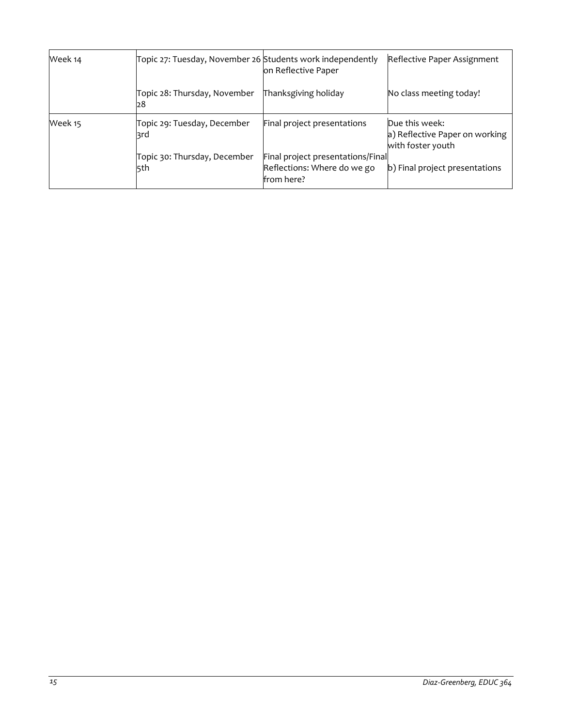| Week 14 | Topic 27: Tuesday, November 26 Students work independently | on Reflective Paper                                                            | Reflective Paper Assignment                                           |
|---------|------------------------------------------------------------|--------------------------------------------------------------------------------|-----------------------------------------------------------------------|
|         | Topic 28: Thursday, November<br>28                         | Thanksgiving holiday                                                           | No class meeting today!                                               |
| Week 15 | Topic 29: Tuesday, December<br>3rd                         | Final project presentations                                                    | Due this week:<br>a) Reflective Paper on working<br>with foster youth |
|         | Topic 30: Thursday, December<br>5th                        | Final project presentations/Final<br>Reflections: Where do we go<br>from here? | b) Final project presentations                                        |